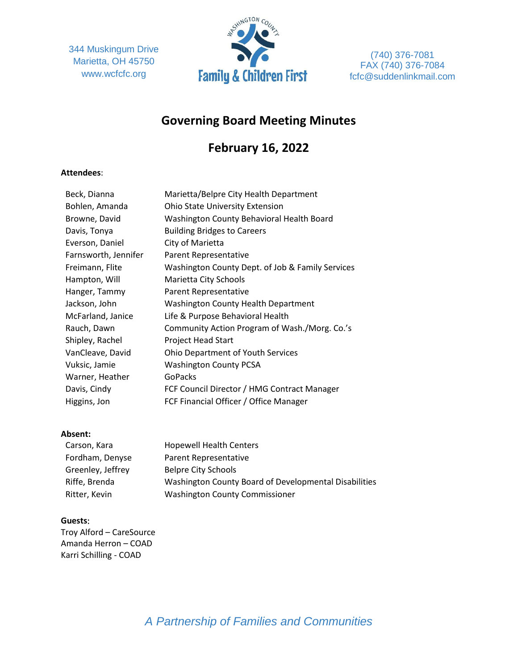344 Muskingum Drive Marietta, OH 45750 www.wcfcfc.org



(740) 376-7081 FAX (740) 376-7084 fcfc@suddenlinkmail.com

## **Governing Board Meeting Minutes**

# **February 16, 2022**

#### **Attendees**:

| Beck, Dianna         | Marietta/Belpre City Health Department           |
|----------------------|--------------------------------------------------|
| Bohlen, Amanda       | <b>Ohio State University Extension</b>           |
| Browne, David        | Washington County Behavioral Health Board        |
| Davis, Tonya         | <b>Building Bridges to Careers</b>               |
| Everson, Daniel      | City of Marietta                                 |
| Farnsworth, Jennifer | Parent Representative                            |
| Freimann, Flite      | Washington County Dept. of Job & Family Services |
| Hampton, Will        | Marietta City Schools                            |
| Hanger, Tammy        | Parent Representative                            |
| Jackson, John        | <b>Washington County Health Department</b>       |
| McFarland, Janice    | Life & Purpose Behavioral Health                 |
| Rauch, Dawn          | Community Action Program of Wash./Morg. Co.'s    |
| Shipley, Rachel      | <b>Project Head Start</b>                        |
| VanCleave, David     | <b>Ohio Department of Youth Services</b>         |
| Vuksic, Jamie        | <b>Washington County PCSA</b>                    |
| Warner, Heather      | GoPacks                                          |
| Davis, Cindy         | FCF Council Director / HMG Contract Manager      |
| Higgins, Jon         | FCF Financial Officer / Office Manager           |

#### **Absent:**

| Carson, Kara      | <b>Hopewell Health Centers</b>                        |
|-------------------|-------------------------------------------------------|
| Fordham, Denyse   | Parent Representative                                 |
| Greenley, Jeffrey | Belpre City Schools                                   |
| Riffe, Brenda     | Washington County Board of Developmental Disabilities |
| Ritter, Kevin     | <b>Washington County Commissioner</b>                 |

#### **Guests**:

Troy Alford – CareSource Amanda Herron – COAD Karri Schilling - COAD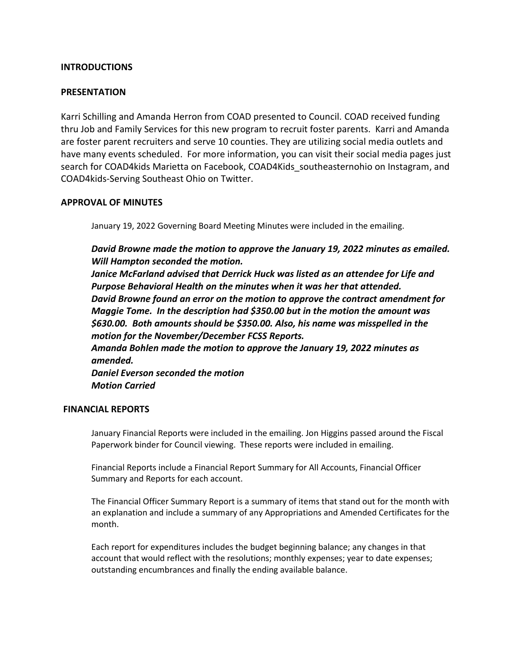## **INTRODUCTIONS**

#### **PRESENTATION**

Karri Schilling and Amanda Herron from COAD presented to Council. COAD received funding thru Job and Family Services for this new program to recruit foster parents. Karri and Amanda are foster parent recruiters and serve 10 counties. They are utilizing social media outlets and have many events scheduled. For more information, you can visit their social media pages just search for COAD4kids Marietta on Facebook, COAD4Kids\_southeasternohio on Instagram, and COAD4kids-Serving Southeast Ohio on Twitter.

## **APPROVAL OF MINUTES**

January 19, 2022 Governing Board Meeting Minutes were included in the emailing.

*David Browne made the motion to approve the January 19, 2022 minutes as emailed. Will Hampton seconded the motion.*

*Janice McFarland advised that Derrick Huck was listed as an attendee for Life and Purpose Behavioral Health on the minutes when it was her that attended. David Browne found an error on the motion to approve the contract amendment for Maggie Tome. In the description had \$350.00 but in the motion the amount was \$630.00. Both amounts should be \$350.00. Also, his name was misspelled in the motion for the November/December FCSS Reports.* 

*Amanda Bohlen made the motion to approve the January 19, 2022 minutes as amended.* 

*Daniel Everson seconded the motion Motion Carried*

#### **FINANCIAL REPORTS**

January Financial Reports were included in the emailing. Jon Higgins passed around the Fiscal Paperwork binder for Council viewing. These reports were included in emailing.

Financial Reports include a Financial Report Summary for All Accounts, Financial Officer Summary and Reports for each account.

The Financial Officer Summary Report is a summary of items that stand out for the month with an explanation and include a summary of any Appropriations and Amended Certificates for the month.

Each report for expenditures includes the budget beginning balance; any changes in that account that would reflect with the resolutions; monthly expenses; year to date expenses; outstanding encumbrances and finally the ending available balance.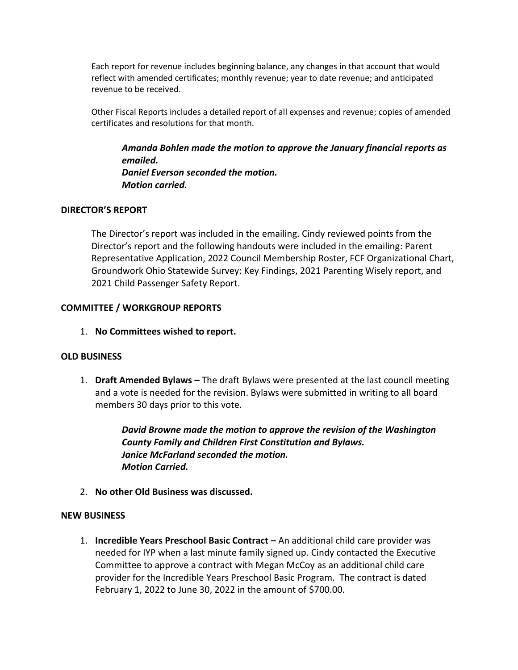Each report for revenue includes beginning balance, any changes in that account that would reflect with amended certificates; monthly revenue; year to date revenue; and anticipated revenue to be received.

Other Fiscal Reports includes a detailed report of all expenses and revenue; copies of amended certificates and resolutions for that month.

*Amanda Bohlen made the motion to approve the January financial reports as emailed. Daniel Everson seconded the motion. Motion carried.*

## **DIRECTOR'S REPORT**

The Director's report was included in the emailing. Cindy reviewed points from the Director's report and the following handouts were included in the emailing: Parent Representative Application, 2022 Council Membership Roster, FCF Organizational Chart, Groundwork Ohio Statewide Survey: Key Findings, 2021 Parenting Wisely report, and 2021 Child Passenger Safety Report.

## **COMMITTEE / WORKGROUP REPORTS**

1. **No Committees wished to report.** 

#### **OLD BUSINESS**

1. **Draft Amended Bylaws –** The draft Bylaws were presented at the last council meeting and a vote is needed for the revision. Bylaws were submitted in writing to all board members 30 days prior to this vote.

> *David Browne made the motion to approve the revision of the Washington County Family and Children First Constitution and Bylaws. Janice McFarland seconded the motion. Motion Carried.*

2. **No other Old Business was discussed.**

#### **NEW BUSINESS**

1. **Incredible Years Preschool Basic Contract –** An additional child care provider was needed for IYP when a last minute family signed up. Cindy contacted the Executive Committee to approve a contract with Megan McCoy as an additional child care provider for the Incredible Years Preschool Basic Program. The contract is dated February 1, 2022 to June 30, 2022 in the amount of \$700.00.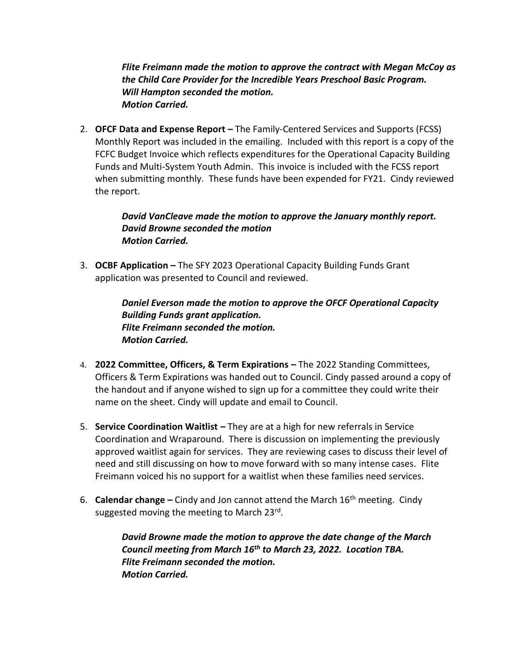*Flite Freimann made the motion to approve the contract with Megan McCoy as the Child Care Provider for the Incredible Years Preschool Basic Program. Will Hampton seconded the motion. Motion Carried.* 

2. **OFCF Data and Expense Report –** The Family-Centered Services and Supports (FCSS) Monthly Report was included in the emailing. Included with this report is a copy of the FCFC Budget Invoice which reflects expenditures for the Operational Capacity Building Funds and Multi-System Youth Admin. This invoice is included with the FCSS report when submitting monthly. These funds have been expended for FY21. Cindy reviewed the report.

## *David VanCleave made the motion to approve the January monthly report. David Browne seconded the motion Motion Carried.*

3. **OCBF Application –** The SFY 2023 Operational Capacity Building Funds Grant application was presented to Council and reviewed.

> *Daniel Everson made the motion to approve the OFCF Operational Capacity Building Funds grant application. Flite Freimann seconded the motion. Motion Carried.*

- 4. **2022 Committee, Officers, & Term Expirations –** The 2022 Standing Committees, Officers & Term Expirations was handed out to Council. Cindy passed around a copy of the handout and if anyone wished to sign up for a committee they could write their name on the sheet. Cindy will update and email to Council.
- 5. **Service Coordination Waitlist –** They are at a high for new referrals in Service Coordination and Wraparound. There is discussion on implementing the previously approved waitlist again for services. They are reviewing cases to discuss their level of need and still discussing on how to move forward with so many intense cases. Flite Freimann voiced his no support for a waitlist when these families need services.
- 6. **Calendar change –** Cindy and Jon cannot attend the March 16th meeting. Cindy suggested moving the meeting to March 23<sup>rd</sup>.

*David Browne made the motion to approve the date change of the March Council meeting from March 16th to March 23, 2022. Location TBA. Flite Freimann seconded the motion. Motion Carried.*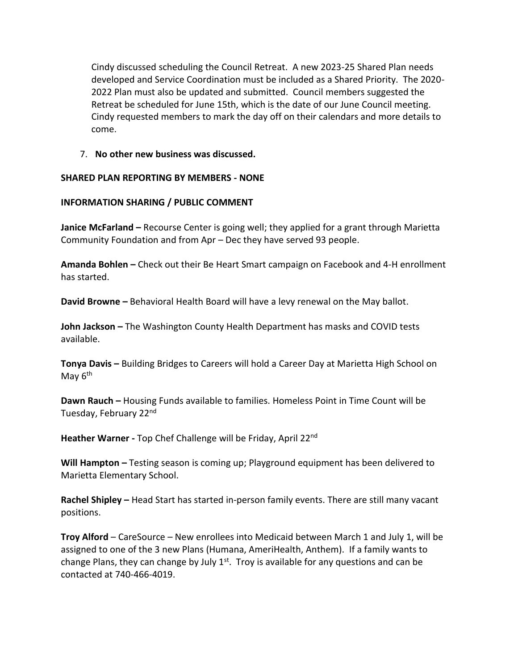Cindy discussed scheduling the Council Retreat. A new 2023-25 Shared Plan needs developed and Service Coordination must be included as a Shared Priority. The 2020- 2022 Plan must also be updated and submitted. Council members suggested the Retreat be scheduled for June 15th, which is the date of our June Council meeting. Cindy requested members to mark the day off on their calendars and more details to come.

7. **No other new business was discussed.** 

## **SHARED PLAN REPORTING BY MEMBERS - NONE**

## **INFORMATION SHARING / PUBLIC COMMENT**

**Janice McFarland –** Recourse Center is going well; they applied for a grant through Marietta Community Foundation and from Apr – Dec they have served 93 people.

**Amanda Bohlen –** Check out their Be Heart Smart campaign on Facebook and 4-H enrollment has started.

**David Browne –** Behavioral Health Board will have a levy renewal on the May ballot.

**John Jackson –** The Washington County Health Department has masks and COVID tests available.

**Tonya Davis –** Building Bridges to Careers will hold a Career Day at Marietta High School on May 6<sup>th</sup>

**Dawn Rauch –** Housing Funds available to families. Homeless Point in Time Count will be Tuesday, February 22nd

**Heather Warner -** Top Chef Challenge will be Friday, April 22nd

**Will Hampton –** Testing season is coming up; Playground equipment has been delivered to Marietta Elementary School.

**Rachel Shipley –** Head Start has started in-person family events. There are still many vacant positions.

**Troy Alford** – CareSource – New enrollees into Medicaid between March 1 and July 1, will be assigned to one of the 3 new Plans (Humana, AmeriHealth, Anthem). If a family wants to change Plans, they can change by July  $1^{st}$ . Troy is available for any questions and can be contacted at 740-466-4019.